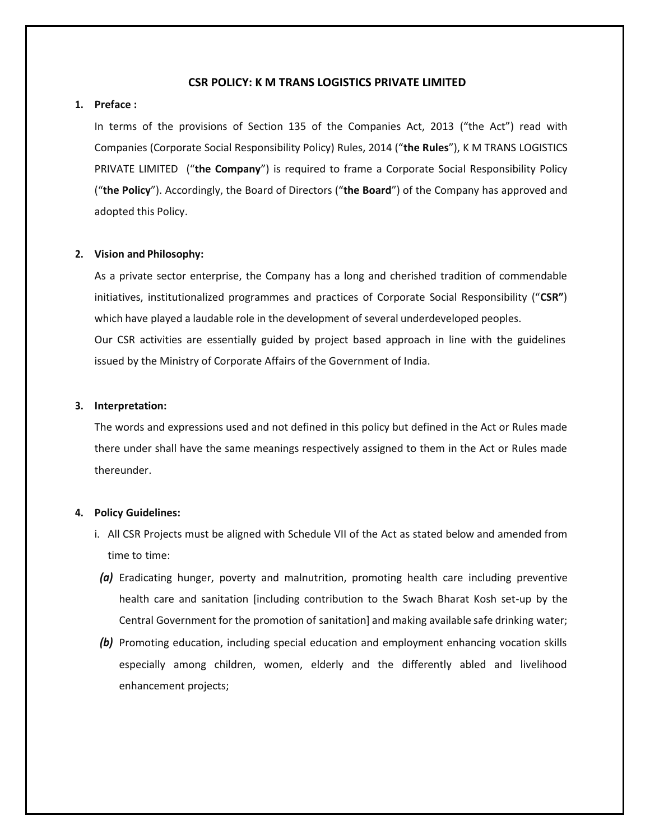# **CSR POLICY: K M TRANS LOGISTICS PRIVATE LIMITED**

# **1. Preface :**

In terms of the provisions of Section 135 of the Companies Act, 2013 ("the Act") read with Companies (Corporate Social Responsibility Policy) Rules, 2014 ("**the Rules**"), K M TRANS LOGISTICS PRIVATE LIMITED ("**the Company**") is required to frame a Corporate Social Responsibility Policy ("**the Policy**"). Accordingly, the Board of Directors ("**the Board**") of the Company has approved and adopted this Policy.

#### **2. Vision and Philosophy:**

As a private sector enterprise, the Company has a long and cherished tradition of commendable initiatives, institutionalized programmes and practices of Corporate Social Responsibility ("**CSR"**) which have played a laudable role in the development of several underdeveloped peoples. Our CSR activities are essentially guided by project based approach in line with the guidelines issued by the Ministry of Corporate Affairs of the Government of India.

#### **3. Interpretation:**

The words and expressions used and not defined in this policy but defined in the Act or Rules made there under shall have the same meanings respectively assigned to them in the Act or Rules made thereunder.

#### **4. Policy Guidelines:**

- i. All CSR Projects must be aligned with Schedule VII of the Act as stated below and amended from time to time:
- *(a)* Eradicating hunger, poverty and malnutrition, promoting health care including preventive health care and sanitation [including contribution to the Swach Bharat Kosh set-up by the Central Government for the promotion of sanitation] and making available safe drinking water;
- *(b)* Promoting education, including special education and employment enhancing vocation skills especially among children, women, elderly and the differently abled and livelihood enhancement projects;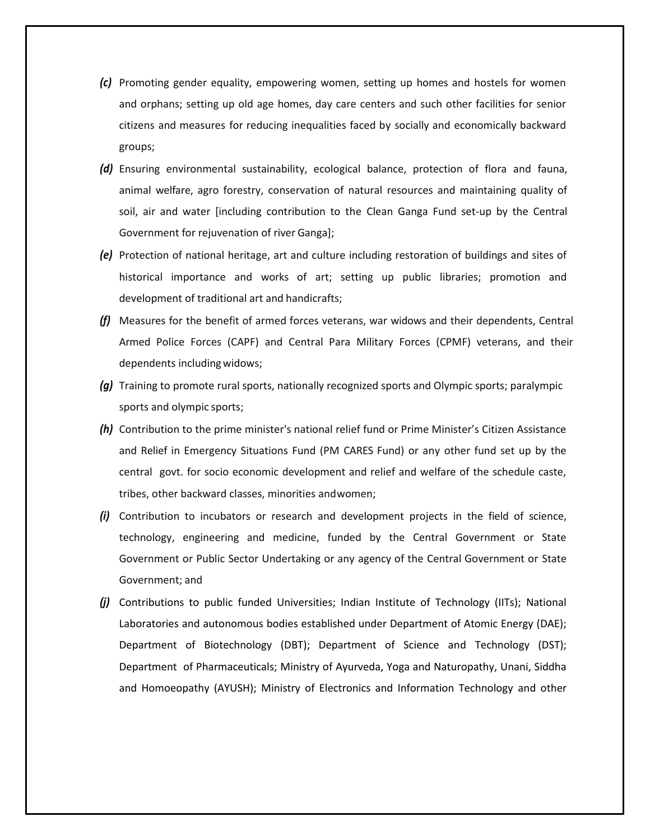- *(c)* Promoting gender equality, empowering women, setting up homes and hostels for women and orphans; setting up old age homes, day care centers and such other facilities for senior citizens and measures for reducing inequalities faced by socially and economically backward groups;
- *(d)* Ensuring environmental sustainability, ecological balance, protection of flora and fauna, animal welfare, agro forestry, conservation of natural resources and maintaining quality of soil, air and water [including contribution to the Clean Ganga Fund set-up by the Central Government for rejuvenation of river Ganga];
- *(e)* Protection of national heritage, art and culture including restoration of buildings and sites of historical importance and works of art; setting up public libraries; promotion and development of traditional art and handicrafts;
- *(f)* Measures for the benefit of armed forces veterans, war widows and their dependents, Central Armed Police Forces (CAPF) and Central Para Military Forces (CPMF) veterans, and their dependents including widows;
- *(g)* Training to promote rural sports, nationally recognized sports and Olympic sports; paralympic sports and olympic sports;
- *(h)* Contribution to the prime minister's national relief fund or Prime Minister's Citizen Assistance and Relief in Emergency Situations Fund (PM CARES Fund) or any other fund set up by the central govt. for socio economic development and relief and welfare of the schedule caste, tribes, other backward classes, minorities andwomen;
- *(i)* Contribution to incubators or research and development projects in the field of science, technology, engineering and medicine, funded by the Central Government or State Government or Public Sector Undertaking or any agency of the Central Government or State Government; and
- *(j)* Contributions to public funded Universities; Indian Institute of Technology (IITs); National Laboratories and autonomous bodies established under Department of Atomic Energy (DAE); Department of Biotechnology (DBT); Department of Science and Technology (DST); Department of Pharmaceuticals; Ministry of Ayurveda, Yoga and Naturopathy, Unani, Siddha and Homoeopathy (AYUSH); Ministry of Electronics and Information Technology and other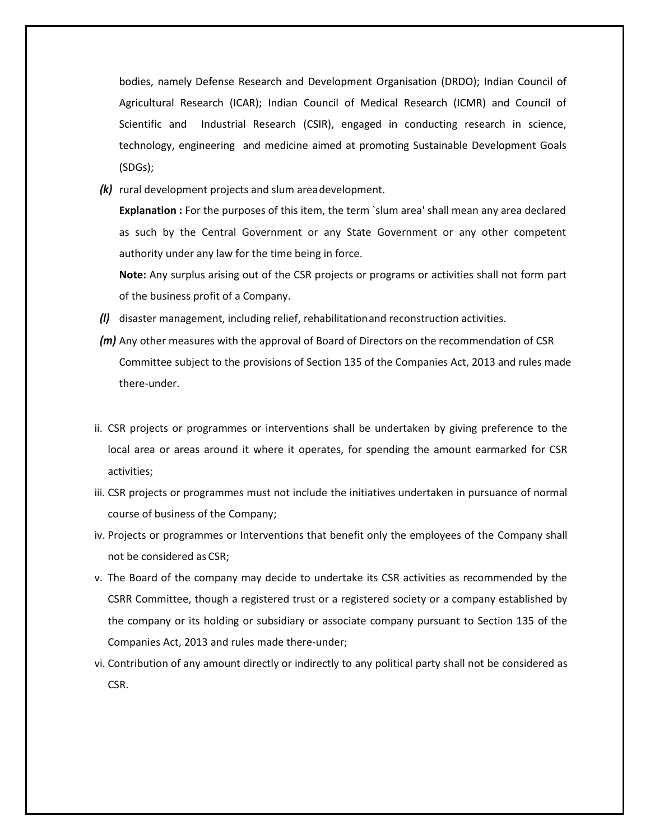bodies, namely Defense Research and Development Organisation (DRDO); Indian Council of Agricultural Research (ICAR); Indian Council of Medical Research (ICMR) and Council of Scientific and Industrial Research (CSIR), engaged in conducting research in science, technology, engineering and medicine aimed at promoting Sustainable Development Goals (SDGs);

*(k)* rural development projects and slum areadevelopment.

**Explanation :** For the purposes of this item, the term `slum area' shall mean any area declared as such by the Central Government or any State Government or any other competent authority under any law for the time being in force.

**Note:** Any surplus arising out of the CSR projects or programs or activities shall not form part of the business profit of a Company.

- *(l)* disaster management, including relief, rehabilitationand reconstruction activities.
- *(m)* Any other measures with the approval of Board of Directors on the recommendation of CSR Committee subject to the provisions of Section 135 of the Companies Act, 2013 and rules made there-under.
- ii. CSR projects or programmes or interventions shall be undertaken by giving preference to the local area or areas around it where it operates, for spending the amount earmarked for CSR activities;
- iii. CSR projects or programmes must not include the initiatives undertaken in pursuance of normal course of business of the Company;
- iv. Projects or programmes or Interventions that benefit only the employees of the Company shall not be considered as CSR;
- v. The Board of the company may decide to undertake its CSR activities as recommended by the CSRR Committee, though a registered trust or a registered society or a company established by the company or its holding or subsidiary or associate company pursuant to Section 135 of the Companies Act, 2013 and rules made there-under;
- vi. Contribution of any amount directly or indirectly to any political party shall not be considered as CSR.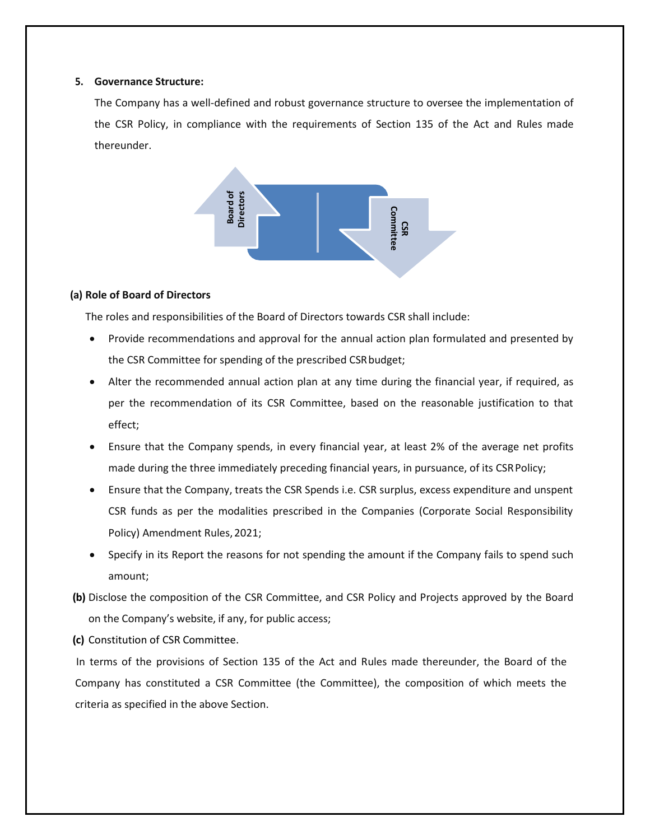## **5. Governance Structure:**

The Company has a well-defined and robust governance structure to oversee the implementation of the CSR Policy, in compliance with the requirements of Section 135 of the Act and Rules made thereunder.



## **(a) Role of Board of Directors**

The roles and responsibilities of the Board of Directors towards CSR shall include:

- Provide recommendations and approval for the annual action plan formulated and presented by the CSR Committee for spending of the prescribed CSRbudget;
- Alter the recommended annual action plan at any time during the financial year, if required, as per the recommendation of its CSR Committee, based on the reasonable justification to that effect;
- Ensure that the Company spends, in every financial year, at least 2% of the average net profits made during the three immediately preceding financial years, in pursuance, of its CSRPolicy;
- Ensure that the Company, treats the CSR Spends i.e. CSR surplus, excess expenditure and unspent CSR funds as per the modalities prescribed in the Companies (Corporate Social Responsibility Policy) Amendment Rules,2021;
- Specify in its Report the reasons for not spending the amount if the Company fails to spend such amount;
- **(b)** Disclose the composition of the CSR Committee, and CSR Policy and Projects approved by the Board on the Company's website, if any, for public access;

**(c)** Constitution of CSR Committee.

In terms of the provisions of Section 135 of the Act and Rules made thereunder, the Board of the Company has constituted a CSR Committee (the Committee), the composition of which meets the criteria as specified in the above Section.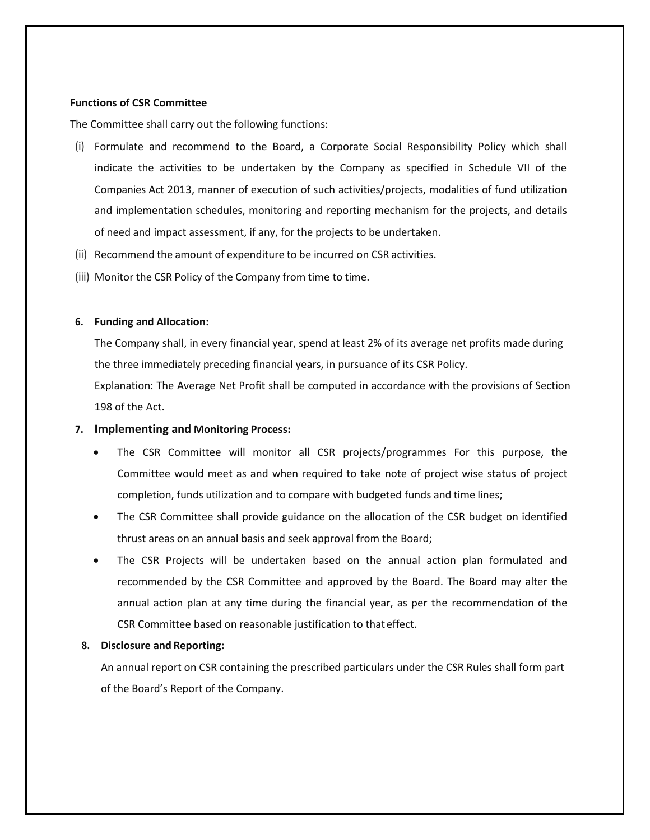## **Functions of CSR Committee**

The Committee shall carry out the following functions:

- (i) Formulate and recommend to the Board, a Corporate Social Responsibility Policy which shall indicate the activities to be undertaken by the Company as specified in Schedule VII of the Companies Act 2013, manner of execution of such activities/projects, modalities of fund utilization and implementation schedules, monitoring and reporting mechanism for the projects, and details of need and impact assessment, if any, for the projects to be undertaken.
- (ii) Recommend the amount of expenditure to be incurred on CSR activities.
- (iii) Monitor the CSR Policy of the Company from time to time.

## **6. Funding and Allocation:**

The Company shall, in every financial year, spend at least 2% of its average net profits made during the three immediately preceding financial years, in pursuance of its CSR Policy.

Explanation: The Average Net Profit shall be computed in accordance with the provisions of Section 198 of the Act.

#### **7. Implementing and Monitoring Process:**

- The CSR Committee will monitor all CSR projects/programmes For this purpose, the Committee would meet as and when required to take note of project wise status of project completion, funds utilization and to compare with budgeted funds and time lines;
- The CSR Committee shall provide guidance on the allocation of the CSR budget on identified thrust areas on an annual basis and seek approval from the Board;
- The CSR Projects will be undertaken based on the annual action plan formulated and recommended by the CSR Committee and approved by the Board. The Board may alter the annual action plan at any time during the financial year, as per the recommendation of the CSR Committee based on reasonable justification to thateffect.

#### **8. Disclosure and Reporting:**

An annual report on CSR containing the prescribed particulars under the CSR Rules shall form part of the Board's Report of the Company.